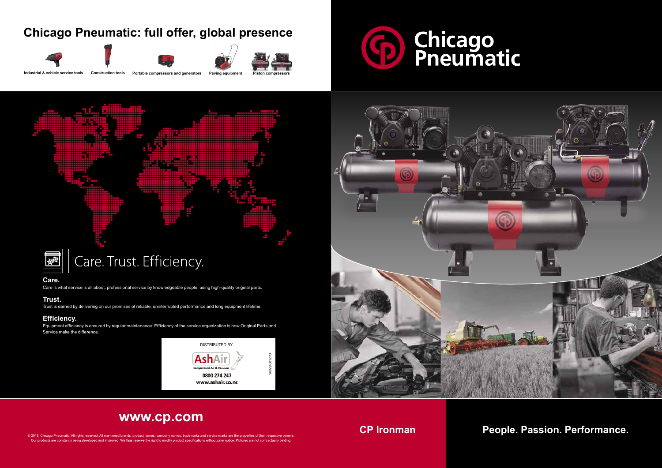# **www.cp.com**

**Industrial & vehicle service tools**



**Construction tools Portable compressors** 





# $\bigodot$ **Chicago<br>Pneumatic**



# **Chicago Pneumatic: full offer, global presence**



© 2018, Chicago Pneumatic. All rights reserved. All mentioned brands, product names, company names, trademarks and service marks are the properties of their respective owners.

#### **Care.**

Care is what service is all about: professional service by knowledgeable people, using high-quality original parts.

#### **Trust.**

Trust is earned by delivering on our promises of reliable, uninterrupted performance and long equipment lifetime.





#### **Efficiency.**

Equipment efficiency is ensured by regular maintenance. Efficiency of the service organization is how Original Parts and Service make the difference.

## **CP Ironman People. Passion. Performance.**